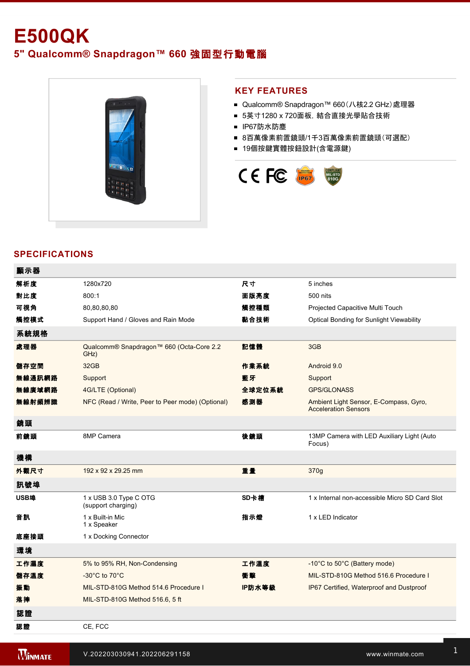# **E500QK 5" Qualcomm® Snapdragon™ 660** 強固型行動電腦



## **KEY FEATURES**

- Qualcomm® Snapdragon™ 660 (八核2.2 GHz)處理器
- 5英寸1280 x 720面板, 結合直接光學貼合技術
- IP67防水防塵
- 8百萬像素前置鏡頭/1千3百萬像素前置鏡頭(可選配)
- 19個按鍵實體按鈕設計(含電源鍵)



## **SPECIFICATIONS**

| 顯示器    |                                                  |        |                                                                       |
|--------|--------------------------------------------------|--------|-----------------------------------------------------------------------|
| 解析度    | 1280x720                                         | 尺寸     | 5 inches                                                              |
| 對比度    | 800:1                                            | 面版亮度   | 500 nits                                                              |
| 可視角    | 80,80,80,80                                      | 觸控種類   | Projected Capacitive Multi Touch                                      |
| 觸控模式   | Support Hand / Gloves and Rain Mode              | 黏合技術   | Optical Bonding for Sunlight Viewability                              |
| 系統規格   |                                                  |        |                                                                       |
| 處理器    | Qualcomm® Snapdragon™ 660 (Octa-Core 2.2<br>GHz) | 記憶體    | 3GB                                                                   |
| 儲存空間   | 32GB                                             | 作業系統   | Android 9.0                                                           |
| 無線通訊網路 | Support                                          | 藍牙     | Support                                                               |
| 無線廣域網路 | 4G/LTE (Optional)                                | 全球定位系統 | <b>GPS/GLONASS</b>                                                    |
| 無線射頻辨識 | NFC (Read / Write, Peer to Peer mode) (Optional) | 感測器    | Ambient Light Sensor, E-Compass, Gyro,<br><b>Acceleration Sensors</b> |
| 鏡頭     |                                                  |        |                                                                       |
| 前鏡頭    | 8MP Camera                                       | 後鏡頭    | 13MP Camera with LED Auxiliary Light (Auto<br>Focus)                  |
| 機構     |                                                  |        |                                                                       |
| 外觀尺寸   | 192 x 92 x 29.25 mm                              | 重量     | 370g                                                                  |
| 訊號埠    |                                                  |        |                                                                       |
| USB埠   | 1 x USB 3.0 Type C OTG<br>(support charging)     | SD卡槽   | 1 x Internal non-accessible Micro SD Card Slot                        |
| 音訊     | 1 x Built-in Mic<br>1 x Speaker                  | 指示燈    | 1 x LED Indicator                                                     |
| 底座接頭   | 1 x Docking Connector                            |        |                                                                       |
| 環境     |                                                  |        |                                                                       |
| 工作濕度   | 5% to 95% RH, Non-Condensing                     | 工作溫度   | -10°C to 50°C (Battery mode)                                          |
| 儲存溫度   | -30 $^{\circ}$ C to 70 $^{\circ}$ C              | 衝擊     | MIL-STD-810G Method 516.6 Procedure I                                 |
| 振動     | MIL-STD-810G Method 514.6 Procedure I            | IP防水等級 | IP67 Certified, Waterproof and Dustproof                              |
| 落摔     | MIL-STD-810G Method 516.6, 5 ft                  |        |                                                                       |
| 認證     |                                                  |        |                                                                       |
| 認證     | CE. FCC                                          |        |                                                                       |

控制